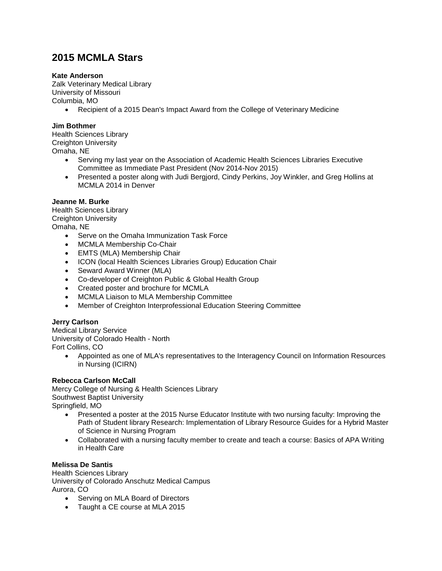# **2015 MCMLA Stars**

#### **Kate Anderson**

Zalk Veterinary Medical Library University of Missouri Columbia, MO

Recipient of a 2015 Dean's Impact Award from the College of Veterinary Medicine

### **Jim Bothmer**

Health Sciences Library Creighton University Omaha, NE

- Serving my last year on the Association of Academic Health Sciences Libraries Executive Committee as Immediate Past President (Nov 2014-Nov 2015)
- Presented a poster along with Judi Bergjord, Cindy Perkins, Joy Winkler, and Greg Hollins at MCMLA 2014 in Denver

#### **Jeanne M. Burke**

Health Sciences Library Creighton University Omaha, NE

- Serve on the Omaha Immunization Task Force
- MCMLA Membership Co-Chair
- EMTS (MLA) Membership Chair
- ICON (local Health Sciences Libraries Group) Education Chair
- Seward Award Winner (MLA)
- Co-developer of Creighton Public & Global Health Group
- Created poster and brochure for MCMLA
- MCMLA Liaison to MLA Membership Committee
- Member of Creighton Interprofessional Education Steering Committee

## **Jerry Carlson**

Medical Library Service University of Colorado Health - North Fort Collins, CO

> Appointed as one of MLA's representatives to the Interagency Council on Information Resources in Nursing (ICIRN)

#### **Rebecca Carlson McCall**

Mercy College of Nursing & Health Sciences Library Southwest Baptist University Springfield, MO

- Presented a poster at the 2015 Nurse Educator Institute with two nursing faculty: Improving the Path of Student library Research: Implementation of Library Resource Guides for a Hybrid Master of Science in Nursing Program
- Collaborated with a nursing faculty member to create and teach a course: Basics of APA Writing in Health Care

#### **Melissa De Santis**

Health Sciences Library University of Colorado Anschutz Medical Campus Aurora, CO

- Serving on MLA Board of Directors
- Taught a CE course at MLA 2015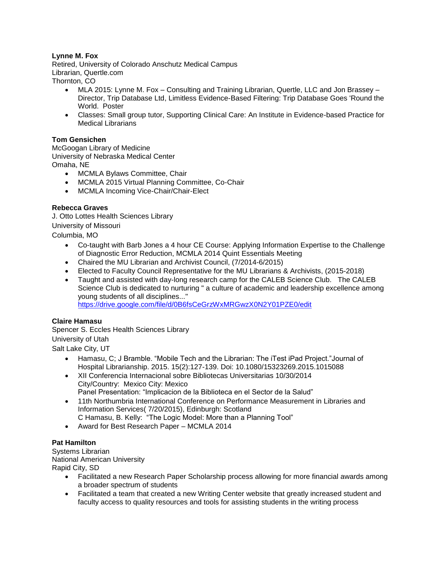## **Lynne M. Fox**

Retired, University of Colorado Anschutz Medical Campus Librarian, Quertle.com Thornton, CO

- MLA 2015: Lynne M. Fox Consulting and Training Librarian, Quertle, LLC and Jon Brassey Director, Trip Database Ltd, Limitless Evidence-Based Filtering: Trip Database Goes 'Round the World. Poster
- Classes: Small group tutor, Supporting Clinical Care: An Institute in Evidence-based Practice for Medical Librarians

#### **Tom Gensichen**

McGoogan Library of Medicine University of Nebraska Medical Center Omaha, NE

- MCMLA Bylaws Committee, Chair
- MCMLA 2015 Virtual Planning Committee, Co-Chair
- MCMLA Incoming Vice-Chair/Chair-Elect

#### **Rebecca Graves**

J. Otto Lottes Health Sciences Library University of Missouri Columbia, MO

- Co-taught with Barb Jones a 4 hour CE Course: Applying Information Expertise to the Challenge of Diagnostic Error Reduction, MCMLA 2014 Quint Essentials Meeting
- Chaired the MU Librarian and Archivist Council, (7/2014-6/2015)
- Elected to Faculty Council Representative for the MU Librarians & Archivists, (2015-2018)
- Taught and assisted with day-long research camp for the CALEB Science Club. The CALEB Science Club is dedicated to nurturing " a culture of academic and leadership excellence among young students of all disciplines..." <https://drive.google.com/file/d/0B6fsCeGrzWxMRGwzX0N2Y01PZE0/edit>

#### **Claire Hamasu**

Spencer S. Eccles Health Sciences Library University of Utah Salt Lake City, UT

- Hamasu, C; J Bramble. "Mobile Tech and the Librarian: The iTest iPad Project."Journal of Hospital Librarianship. 2015. 15(2):127-139. Doi: 10.1080/15323269.2015.1015088
- XII Conferencia Internacional sobre Bibliotecas Universitarias 10/30/2014 City/Country: Mexico City: Mexico Panel Presentation: "Implicacion de la Biblioteca en el Sector de la Salud"
- 11th Northumbria International Conference on Performance Measurement in Libraries and Information Services( 7/20/2015), Edinburgh: Scotland
- C Hamasu, B. Kelly: "The Logic Model: More than a Planning Tool"
- Award for Best Research Paper MCMLA 2014

#### **Pat Hamilton**

Systems Librarian National American University Rapid City, SD

- Facilitated a new Research Paper Scholarship process allowing for more financial awards among a broader spectrum of students
- Facilitated a team that created a new Writing Center website that greatly increased student and faculty access to quality resources and tools for assisting students in the writing process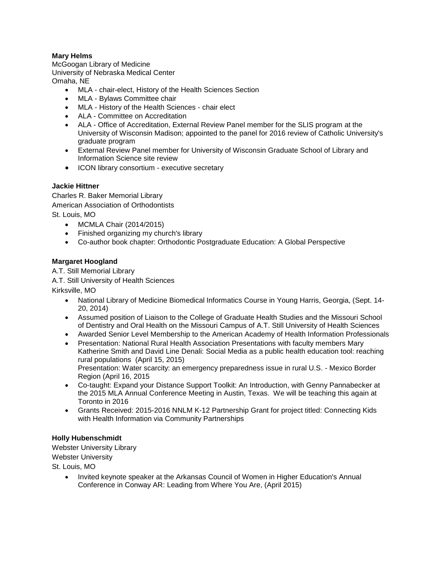## **Mary Helms**

McGoogan Library of Medicine University of Nebraska Medical Center Omaha, NE

- MLA chair-elect, History of the Health Sciences Section
- MLA Bylaws Committee chair
- MLA History of the Health Sciences chair elect
- ALA Committee on Accreditation
- ALA Office of Accreditation, External Review Panel member for the SLIS program at the University of Wisconsin Madison; appointed to the panel for 2016 review of Catholic University's graduate program
- External Review Panel member for University of Wisconsin Graduate School of Library and Information Science site review
- ICON library consortium executive secretary

#### **Jackie Hittner**

Charles R. Baker Memorial Library American Association of Orthodontists St. Louis, MO

- MCMLA Chair (2014/2015)
- Finished organizing my church's library
- Co-author book chapter: Orthodontic Postgraduate Education: A Global Perspective

#### **Margaret Hoogland**

A.T. Still Memorial Library

A.T. Still University of Health Sciences

Kirksville, MO

- National Library of Medicine Biomedical Informatics Course in Young Harris, Georgia, (Sept. 14- 20, 2014)
- Assumed position of Liaison to the College of Graduate Health Studies and the Missouri School of Dentistry and Oral Health on the Missouri Campus of A.T. Still University of Health Sciences
- Awarded Senior Level Membership to the American Academy of Health Information Professionals
- Presentation: National Rural Health Association Presentations with faculty members Mary Katherine Smith and David Line Denali: Social Media as a public health education tool: reaching rural populations (April 15, 2015) Presentation: Water scarcity: an emergency preparedness issue in rural U.S. - Mexico Border

Region (April 16, 2015

- Co-taught: Expand your Distance Support Toolkit: An Introduction, with Genny Pannabecker at the 2015 MLA Annual Conference Meeting in Austin, Texas. We will be teaching this again at Toronto in 2016
- Grants Received: 2015-2016 NNLM K-12 Partnership Grant for project titled: Connecting Kids with Health Information via Community Partnerships

#### **Holly Hubenschmidt**

Webster University Library Webster University

St. Louis, MO

 Invited keynote speaker at the Arkansas Council of Women in Higher Education's Annual Conference in Conway AR: Leading from Where You Are, (April 2015)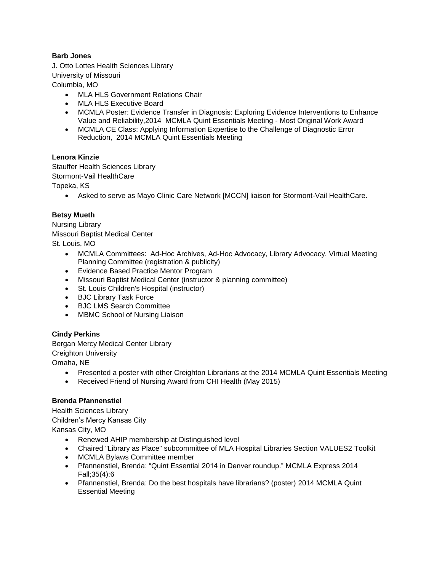## **Barb Jones**

J. Otto Lottes Health Sciences Library University of Missouri Columbia, MO

- MLA HLS Government Relations Chair
- MLA HLS Executive Board
- MCMLA Poster: Evidence Transfer in Diagnosis: Exploring Evidence Interventions to Enhance Value and Reliability,2014 MCMLA Quint Essentials Meeting - Most Original Work Award
- MCMLA CE Class: Applying Information Expertise to the Challenge of Diagnostic Error Reduction, 2014 MCMLA Quint Essentials Meeting

#### **Lenora Kinzie**

Stauffer Health Sciences Library Stormont-Vail HealthCare Topeka, KS

Asked to serve as Mayo Clinic Care Network [MCCN] liaison for Stormont-Vail HealthCare.

#### **Betsy Mueth**

Nursing Library Missouri Baptist Medical Center St. Louis, MO

- MCMLA Committees: Ad-Hoc Archives, Ad-Hoc Advocacy, Library Advocacy, Virtual Meeting Planning Committee (registration & publicity)
- Evidence Based Practice Mentor Program
- Missouri Baptist Medical Center (instructor & planning committee)
- St. Louis Children's Hospital (instructor)
- BJC Library Task Force
- BJC LMS Search Committee
- MBMC School of Nursing Liaison

#### **Cindy Perkins**

Bergan Mercy Medical Center Library Creighton University Omaha, NE

- Presented a poster with other Creighton Librarians at the 2014 MCMLA Quint Essentials Meeting
- Received Friend of Nursing Award from CHI Health (May 2015)

### **Brenda Pfannenstiel**

Health Sciences Library Children's Mercy Kansas City Kansas City, MO

- Renewed AHIP membership at Distinguished level
- Chaired "Library as Place" subcommittee of MLA Hospital Libraries Section VALUES2 Toolkit
- MCMLA Bylaws Committee member
- Pfannenstiel, Brenda: "Quint Essential 2014 in Denver roundup." MCMLA Express 2014 Fall;35(4):6
- Pfannenstiel, Brenda: Do the best hospitals have librarians? (poster) 2014 MCMLA Quint Essential Meeting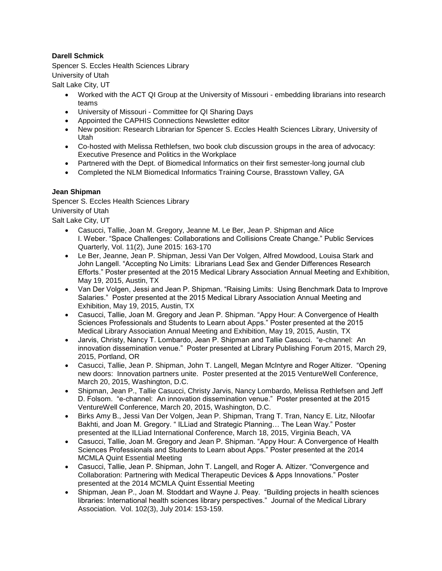## **Darell Schmick**

Spencer S. Eccles Health Sciences Library University of Utah Salt Lake City, UT

- Worked with the ACT QI Group at the University of Missouri embedding librarians into research teams
- University of Missouri Committee for QI Sharing Days
- Appointed the CAPHIS Connections Newsletter editor
- New position: Research Librarian for Spencer S. Eccles Health Sciences Library, University of Utah
- Co-hosted with Melissa Rethlefsen, two book club discussion groups in the area of advocacy: Executive Presence and Politics in the Workplace
- Partnered with the Dept. of Biomedical Informatics on their first semester-long journal club
- Completed the NLM Biomedical Informatics Training Course, Brasstown Valley, GA

#### **Jean Shipman**

Spencer S. Eccles Health Sciences Library University of Utah Salt Lake City, UT

- Casucci, Tallie, Joan M. Gregory, Jeanne M. Le Ber, Jean P. Shipman and Alice I. Weber. "Space Challenges: Collaborations and Collisions Create Change." Public Services Quarterly, Vol. 11(2), June 2015: 163-170
- Le Ber, Jeanne, Jean P. Shipman, Jessi Van Der Volgen, Alfred Mowdood, Louisa Stark and John Langell. "Accepting No Limits: Librarians Lead Sex and Gender Differences Research Efforts." Poster presented at the 2015 Medical Library Association Annual Meeting and Exhibition, May 19, 2015, Austin, TX
- Van Der Volgen, Jessi and Jean P. Shipman. "Raising Limits: Using Benchmark Data to Improve Salaries." Poster presented at the 2015 Medical Library Association Annual Meeting and Exhibition, May 19, 2015, Austin, TX
- Casucci, Tallie, Joan M. Gregory and Jean P. Shipman. "Appy Hour: A Convergence of Health Sciences Professionals and Students to Learn about Apps." Poster presented at the 2015 Medical Library Association Annual Meeting and Exhibition, May 19, 2015, Austin, TX
- Jarvis, Christy, Nancy T. Lombardo, Jean P. Shipman and Tallie Casucci. "e-channel: An innovation dissemination venue." Poster presented at Library Publishing Forum 2015, March 29, 2015, Portland, OR
- Casucci, Tallie, Jean P. Shipman, John T. Langell, Megan McIntyre and Roger Altizer. "Opening new doors: Innovation partners unite. Poster presented at the 2015 VentureWell Conference, March 20, 2015, Washington, D.C.
- Shipman, Jean P., Tallie Casucci, Christy Jarvis, Nancy Lombardo, Melissa Rethlefsen and Jeff D. Folsom. "e-channel: An innovation dissemination venue." Poster presented at the 2015 VentureWell Conference, March 20, 2015, Washington, D.C.
- Birks Amy B., Jessi Van Der Volgen, Jean P. Shipman, Trang T. Tran, Nancy E. Litz, Niloofar Bakhti, and Joan M. Gregory. " ILLiad and Strategic Planning… The Lean Way." Poster presented at the ILLiad International Conference, March 18, 2015, Virginia Beach, VA
- Casucci, Tallie, Joan M. Gregory and Jean P. Shipman. "Appy Hour: A Convergence of Health Sciences Professionals and Students to Learn about Apps." Poster presented at the 2014 MCMLA Quint Essential Meeting
- Casucci, Tallie, Jean P. Shipman, John T. Langell, and Roger A. Altizer. "Convergence and Collaboration: Partnering with Medical Therapeutic Devices & Apps Innovations." Poster presented at the 2014 MCMLA Quint Essential Meeting
- Shipman, Jean P., Joan M. Stoddart and Wayne J. Peay. "Building projects in health sciences libraries: International health sciences library perspectives." Journal of the Medical Library Association. Vol. 102(3), July 2014: 153-159.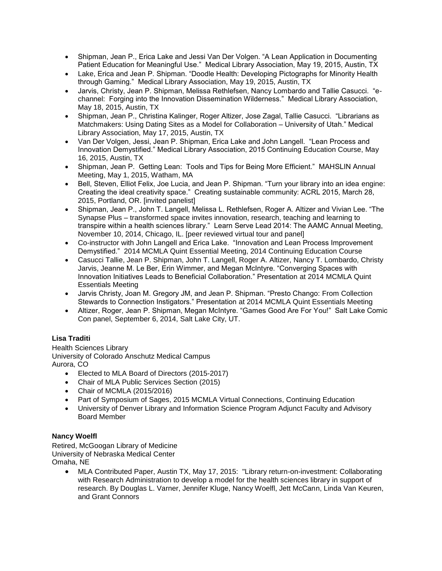- Shipman, Jean P., Erica Lake and Jessi Van Der Volgen. "A Lean Application in Documenting Patient Education for Meaningful Use." Medical Library Association, May 19, 2015, Austin, TX
- Lake, Erica and Jean P. Shipman. "Doodle Health: Developing Pictographs for Minority Health through Gaming." Medical Library Association, May 19, 2015, Austin, TX
- Jarvis, Christy, Jean P. Shipman, Melissa Rethlefsen, Nancy Lombardo and Tallie Casucci. "echannel: Forging into the Innovation Dissemination Wilderness." Medical Library Association, May 18, 2015, Austin, TX
- Shipman, Jean P., Christina Kalinger, Roger Altizer, Jose Zagal, Tallie Casucci. "Librarians as Matchmakers: Using Dating Sites as a Model for Collaboration – University of Utah." Medical Library Association, May 17, 2015, Austin, TX
- Van Der Volgen, Jessi, Jean P. Shipman, Erica Lake and John Langell. "Lean Process and Innovation Demystified." Medical Library Association, 2015 Continuing Education Course, May 16, 2015, Austin, TX
- Shipman, Jean P. Getting Lean: Tools and Tips for Being More Efficient." MAHSLIN Annual Meeting, May 1, 2015, Watham, MA
- Bell, Steven, Elliot Felix, Joe Lucia, and Jean P. Shipman. "Turn your library into an idea engine: Creating the ideal creativity space." Creating sustainable community: ACRL 2015, March 28, 2015, Portland, OR. [invited panelist]
- Shipman, Jean P., John T. Langell, Melissa L. Rethlefsen, Roger A. Altizer and Vivian Lee. "The Synapse Plus – transformed space invites innovation, research, teaching and learning to transpire within a health sciences library." Learn Serve Lead 2014: The AAMC Annual Meeting, November 10, 2014, Chicago, IL. [peer reviewed virtual tour and panel]
- Co-instructor with John Langell and Erica Lake. "Innovation and Lean Process Improvement Demystified." 2014 MCMLA Quint Essential Meeting, 2014 Continuing Education Course
- Casucci Tallie, Jean P. Shipman, John T. Langell, Roger A. Altizer, Nancy T. Lombardo, Christy Jarvis, Jeanne M. Le Ber, Erin Wimmer, and Megan McIntyre. "Converging Spaces with Innovation Initiatives Leads to Beneficial Collaboration." Presentation at 2014 MCMLA Quint Essentials Meeting
- Jarvis Christy, Joan M. Gregory JM, and Jean P. Shipman. "Presto Chango: From Collection Stewards to Connection Instigators." Presentation at 2014 MCMLA Quint Essentials Meeting
- Altizer, Roger, Jean P. Shipman, Megan McIntyre. "Games Good Are For You!" Salt Lake Comic Con panel, September 6, 2014, Salt Lake City, UT.

## **Lisa Traditi**

Health Sciences Library University of Colorado Anschutz Medical Campus Aurora, CO

- Elected to MLA Board of Directors (2015-2017)
- Chair of MLA Public Services Section (2015)
- Chair of MCMLA (2015/2016)
- Part of Symposium of Sages, 2015 MCMLA Virtual Connections, Continuing Education
- University of Denver Library and Information Science Program Adjunct Faculty and Advisory Board Member

#### **Nancy Woelfl**

Retired, McGoogan Library of Medicine University of Nebraska Medical Center Omaha, NE

> MLA Contributed Paper, Austin TX, May 17, 2015: "Library return-on-investment: Collaborating with Research Administration to develop a model for the health sciences library in support of research. By Douglas L. Varner, Jennifer Kluge, Nancy Woelfl, Jett McCann, Linda Van Keuren, and Grant Connors